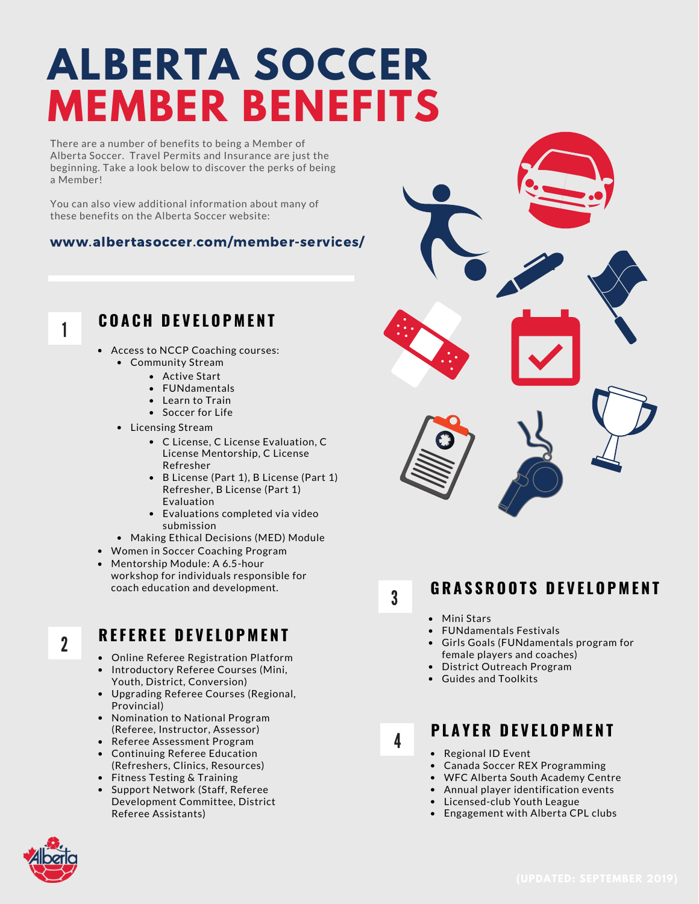# **ALBERTA SOCCER MEMBER BENEFITS**

There are a number of benefits to being a Member of Alberta Soccer. Travel Permits and Insurance are just the beginning. Take a look below to discover the perks of being a Member!

You can also view additional information about many of these benefits on the Alberta Soccer website:

#### www.albertasoccer.com/member-services/

1

### **C O A C H D E V E L O P M E N T**

- Access to NCCP Coaching courses: Community Stream
	- Active Start
	- FUNdamentals
	- Learn to Train
	- Soccer for Life
	- Licensing Stream
		- C License, C License Evaluation, C License Mentorship, C License Refresher
		- B License (Part 1), B License (Part 1) Refresher, B License (Part 1) Evaluation
		- Evaluations completed via video submission
	- Making Ethical Decisions (MED) Module
- Women in Soccer Coaching Program
- Mentorship Module: A 6.5-hour workshop for individuals responsible for coach education and development.
- 2

#### **R E F E R E E D E V E L O P M E N T**

- Online Referee Registration Platform
- Introductory Referee Courses (Mini, Youth, District, Conversion)
- Upgrading Referee Courses (Regional, Provincial)
- Nomination to National Program (Referee, Instructor, Assessor)
- Referee Assessment Program
- Continuing Referee Education (Refreshers, Clinics, Resources)
- $\bullet$ Fitness Testing & Training
- Support Network (Staff, Referee Development Committee, District Referee Assistants)

3

4

#### **G R A S S R O O T S D E V E L O P M E N T**

- Mini Stars
- FUNdamentals Festivals
- Girls Goals (FUNdamentals program for female players and coaches)
- District Outreach Program
- Guides and Toolkits

### **P L A Y E R D E V E L O P M E N T**

- Regional ID Event
- Canada Soccer REX Programming
- WFC Alberta South Academy Centre
- Annual player identification events
- Licensed-club Youth League
- Engagement with Alberta CPL clubs